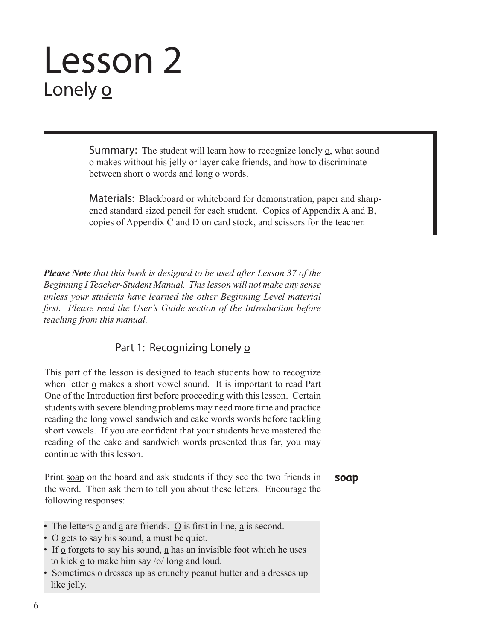# Lesson 2 Lonely o

**Summary:** The student will learn how to recognize lonely  $\Omega$ , what sound o makes without his jelly or layer cake friends, and how to discriminate between short o words and long o words.

Materials: Blackboard or whiteboard for demonstration, paper and sharpened standard sized pencil for each student. Copies of Appendix A and B, copies of Appendix C and D on card stock, and scissors for the teacher.

*Please Note that this book is designed to be used after Lesson 37 of the Beginning I Teacher-Student Manual. This lesson will not make any sense unless your students have learned the other Beginning Level material first. Please read the User's Guide section of the Introduction before teaching from this manual.*

## Part 1: Recognizing Lonely o

This part of the lesson is designed to teach students how to recognize when letter o makes a short vowel sound. It is important to read Part One of the Introduction first before proceeding with this lesson. Certain students with severe blending problems may need more time and practice reading the long vowel sandwich and cake words words before tackling short vowels. If you are confident that your students have mastered the reading of the cake and sandwich words presented thus far, you may continue with this lesson.

**soap** Print soap on the board and ask students if they see the two friends in the word. Then ask them to tell you about these letters. Encourage the following responses:

- The letters o and a are friends. O is first in line, a is second.
- O gets to say his sound, a must be quiet.
- If  $\Omega$  forgets to say his sound,  $\Omega$  has an invisible foot which he uses to kick o to make him say /o/ long and loud.
- Sometimes o dresses up as crunchy peanut butter and a dresses up like jelly.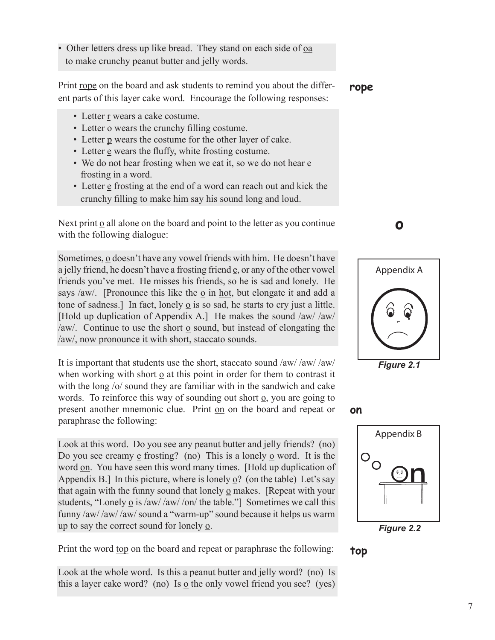• Other letters dress up like bread. They stand on each side of <u>oa</u> to make crunchy peanut butter and jelly words.

Print rope on the board and ask students to remind you about the different parts of this layer cake word. Encourage the following responses:

- Letter r wears a cake costume.
- Letter o wears the crunchy filling costume.
- Letter p wears the costume for the other layer of cake.
- Letter e wears the fluffy, white frosting costume.
- We do not hear frosting when we eat it, so we do not hear e frosting in a word.
- Letter  $\epsilon$  frosting at the end of a word can reach out and kick the crunchy filling to make him say his sound long and loud.

Next print o all alone on the board and point to the letter as you continue with the following dialogue:

Sometimes, o doesn't have any vowel friends with him. He doesn't have a jelly friend, he doesn't have a frosting friend  $\underline{e}$ , or any of the other vowel friends you've met. He misses his friends, so he is sad and lonely. He says /aw/. [Pronounce this like the o in hot, but elongate it and add a tone of sadness.] In fact, lonely o is so sad, he starts to cry just a little. [Hold up duplication of Appendix A.] He makes the sound /aw/ /aw/ /aw/. Continue to use the short o sound, but instead of elongating the /aw/, now pronounce it with short, staccato sounds.

It is important that students use the short, staccato sound /aw/ /aw/ /aw/ when working with short o at this point in order for them to contrast it with the long /o/ sound they are familiar with in the sandwich and cake words. To reinforce this way of sounding out short o, you are going to present another mnemonic clue. Print on on the board and repeat or paraphrase the following:

Look at this word. Do you see any peanut butter and jelly friends? (no) Do you see creamy  $\epsilon$  frosting? (no) This is a lonely  $\epsilon$  word. It is the word on. You have seen this word many times. [Hold up duplication of Appendix B.] In this picture, where is lonely o? (on the table) Let's say that again with the funny sound that lonely o makes. [Repeat with your students, "Lonely  $\Omega$  is /aw/ /aw/ /on/ the table."] Sometimes we call this funny /aw/ /aw/ /aw/ sound a "warm-up" sound because it helps us warm up to say the correct sound for lonely o.

Print the word top on the board and repeat or paraphrase the following:

Look at the whole word. Is this a peanut butter and jelly word? (no) Is this a layer cake word? (no) Is o the only vowel friend you see? (yes)

**rope**



**o**







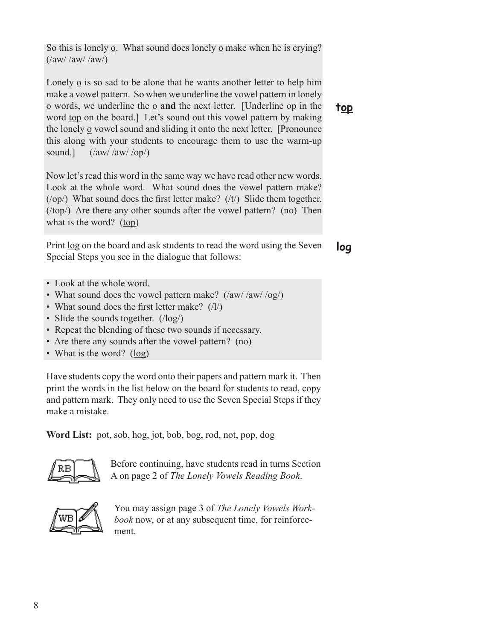So this is lonely  $\Omega$ . What sound does lonely  $\Omega$  make when he is crying?  $(\frac{a}{\mathrm{aw}}/\frac{a}{\mathrm{aw}})$ 

Lonely o is so sad to be alone that he wants another letter to help him make a vowel pattern. So when we underline the vowel pattern in lonely o words, we underline the o **and** the next letter. [Underline op in the word top on the board.] Let's sound out this vowel pattern by making the lonely  $\Omega$  vowel sound and sliding it onto the next letter. [Pronounce] this along with your students to encourage them to use the warm-up sound.]  $(\frac{a}{\alpha w}/a\frac{w}{o\rho})$ 

Now let's read this word in the same way we have read other new words. Look at the whole word. What sound does the vowel pattern make?  $(10p)$  What sound does the first letter make?  $(11)$  Slide them together. (/top/) Are there any other sounds after the vowel pattern? (no) Then what is the word?  $(top)$ 

**log** Print log on the board and ask students to read the word using the Seven Special Steps you see in the dialogue that follows:

- Look at the whole word.
- What sound does the vowel pattern make? (/aw/ /aw/ /og/)
- What sound does the first letter make? (/l/)
- Slide the sounds together. ( $\log$ )
- Repeat the blending of these two sounds if necessary.
- Are there any sounds after the vowel pattern? (no)
- What is the word? (log)

Have students copy the word onto their papers and pattern mark it. Then print the words in the list below on the board for students to read, copy and pattern mark. They only need to use the Seven Special Steps if they make a mistake.

**Word List:** pot, sob, hog, jot, bob, bog, rod, not, pop, dog



Before continuing, have students read in turns Section A on page 2 of *The Lonely Vowels Reading Book*.



You may assign page 3 of *The Lonely Vowels Workbook* now, or at any subsequent time, for reinforcement.

**top**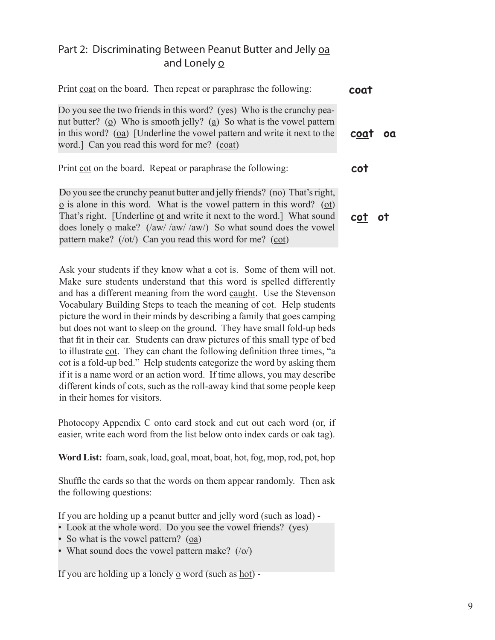## Part 2: Discriminating Between Peanut Butter and Jelly oa and Lonely o

| Print coat on the board. Then repeat or paraphrase the following:                                                                                                                                                                                                                                                                                                                     | coat   |
|---------------------------------------------------------------------------------------------------------------------------------------------------------------------------------------------------------------------------------------------------------------------------------------------------------------------------------------------------------------------------------------|--------|
| Do you see the two friends in this word? (yes) Who is the crunchy pea-<br>nut butter? ( $\Omega$ ) Who is smooth jelly? ( $\Omega$ ) So what is the vowel pattern<br>in this word? $(oa)$ [Underline the vowel pattern and write it next to the<br>word.] Can you read this word for me? (coat)                                                                                       | coat   |
| Print cot on the board. Repeat or paraphrase the following:                                                                                                                                                                                                                                                                                                                           | cot    |
| Do you see the crunchy peanut butter and jelly friends? (no) That's right,<br>$\Omega$ is alone in this word. What is the vowel pattern in this word? ( $\Omega$ )<br>That's right. [Underline of and write it next to the word.] What sound<br>does lonely $\Omega$ make? (/aw/ /aw/ /aw/) So what sound does the vowel<br>pattern make? (/ot/) Can you read this word for me? (cot) | cot ot |

Ask your students if they know what a cot is. Some of them will not. Make sure students understand that this word is spelled differently and has a different meaning from the word caught. Use the Stevenson Vocabulary Building Steps to teach the meaning of cot. Help students picture the word in their minds by describing a family that goes camping but does not want to sleep on the ground. They have small fold-up beds that fit in their car. Students can draw pictures of this small type of bed to illustrate cot. They can chant the following definition three times, "a cot is a fold-up bed." Help students categorize the word by asking them if it is a name word or an action word. If time allows, you may describe different kinds of cots, such as the roll-away kind that some people keep in their homes for visitors.

Photocopy Appendix C onto card stock and cut out each word (or, if easier, write each word from the list below onto index cards or oak tag).

**Word List:** foam, soak, load, goal, moat, boat, hot, fog, mop, rod, pot, hop

Shuffle the cards so that the words on them appear randomly. Then ask the following questions:

If you are holding up a peanut butter and jelly word (such as load) -

- Look at the whole word. Do you see the vowel friends? (yes)
- So what is the vowel pattern? (oa)
- What sound does the vowel pattern make? (/o/)

If you are holding up a lonely o word (such as hot) -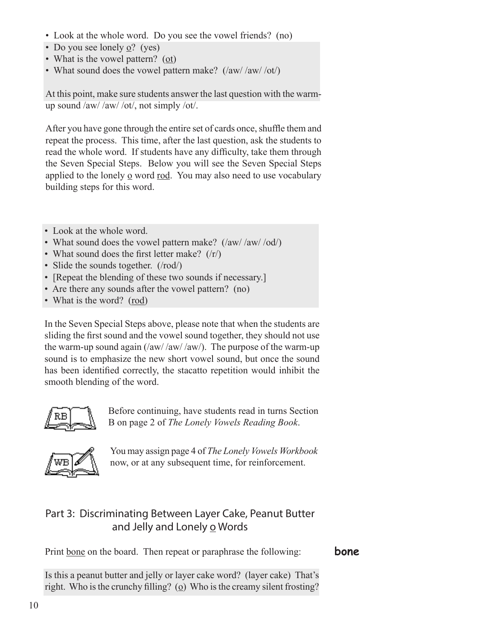- Look at the whole word. Do you see the vowel friends? (no)
- Do you see lonely o? (yes)
- What is the vowel pattern? (ot)
- What sound does the vowel pattern make?  $(\frac{a w}{a w}/\alpha v)$

At this point, make sure students answer the last question with the warmup sound /aw/ /aw/ /ot/, not simply /ot/.

After you have gone through the entire set of cards once, shuffle them and repeat the process. This time, after the last question, ask the students to read the whole word. If students have any difficulty, take them through the Seven Special Steps. Below you will see the Seven Special Steps applied to the lonely o word rod. You may also need to use vocabulary building steps for this word.

- Look at the whole word.
- What sound does the vowel pattern make? (/aw/ /aw/ /od/)
- What sound does the first letter make?  $(|r\rangle)$
- Slide the sounds together. (/rod/)
- [Repeat the blending of these two sounds if necessary.]
- Are there any sounds after the vowel pattern? (no)
- What is the word? (rod)

In the Seven Special Steps above, please note that when the students are sliding the first sound and the vowel sound together, they should not use the warm-up sound again  $\frac{1}{\text{aw}}$  /aw/  $\frac{1}{\text{aw}}$ . The purpose of the warm-up sound is to emphasize the new short vowel sound, but once the sound has been identified correctly, the stacatto repetition would inhibit the smooth blending of the word.



Before continuing, have students read in turns Section B on page 2 of *The Lonely Vowels Reading Book*.



You may assign page 4 of *The Lonely Vowels Workbook* now, or at any subsequent time, for reinforcement.

# Part 3: Discriminating Between Layer Cake, Peanut Butter and Jelly and Lonely o Words

Print bone on the board. Then repeat or paraphrase the following:

**bone**

Is this a peanut butter and jelly or layer cake word? (layer cake) That's right. Who is the crunchy filling? ( $\Omega$ ) Who is the creamy silent frosting?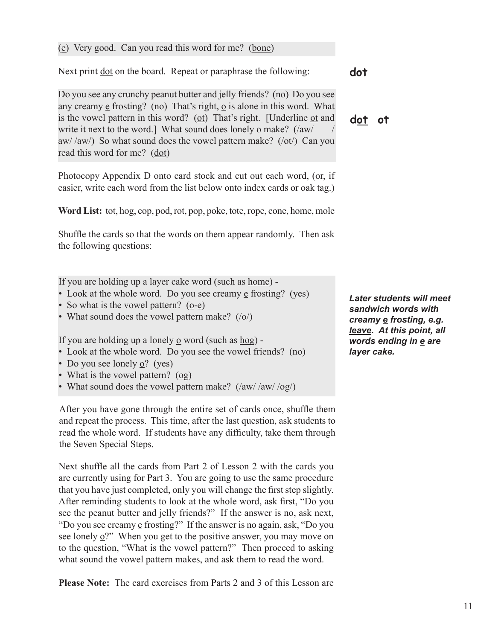#### (e) Very good. Can you read this word for me? (bone)

Next print dot on the board. Repeat or paraphrase the following:

Do you see any crunchy peanut butter and jelly friends? (no) Do you see any creamy  $\epsilon$  frosting? (no) That's right,  $\alpha$  is alone in this word. What is the vowel pattern in this word? (ot) That's right. [Underline ot and write it next to the word.] What sound does lonely o make? (/aw/ aw//aw/) So what sound does the vowel pattern make? (/ot/) Can you read this word for me? (dot)

Photocopy Appendix D onto card stock and cut out each word, (or, if easier, write each word from the list below onto index cards or oak tag.)

**Word List:** tot, hog, cop, pod, rot, pop, poke, tote, rope, cone, home, mole

Shuffle the cards so that the words on them appear randomly. Then ask the following questions:

If you are holding up a layer cake word (such as home) -

- Look at the whole word. Do you see creamy e frosting? (yes)
- So what is the vowel pattern? (o-e)
- What sound does the vowel pattern make? (/o/)

If you are holding up a lonely  $\Omega$  word (such as hog) -

- Look at the whole word. Do you see the vowel friends? (no)
- Do you see lonely  $\Omega$ ? (yes)
- What is the vowel pattern? (og)
- What sound does the vowel pattern make? (/aw/ /aw/ /og/)

After you have gone through the entire set of cards once, shuffle them and repeat the process. This time, after the last question, ask students to read the whole word. If students have any difficulty, take them through the Seven Special Steps.

Next shuffle all the cards from Part 2 of Lesson 2 with the cards you are currently using for Part 3. You are going to use the same procedure that you have just completed, only you will change the first step slightly. After reminding students to look at the whole word, ask first, "Do you see the peanut butter and jelly friends?" If the answer is no, ask next, "Do you see creamy e frosting?" If the answer is no again, ask, "Do you see lonely o?" When you get to the positive answer, you may move on to the question, "What is the vowel pattern?" Then proceed to asking what sound the vowel pattern makes, and ask them to read the word.

**Please Note:** The card exercises from Parts 2 and 3 of this Lesson are

**dot**

**dot ot**

*Later students will meet sandwich words with creamy e frosting, e.g. leave. At this point, all words ending in e are layer cake.*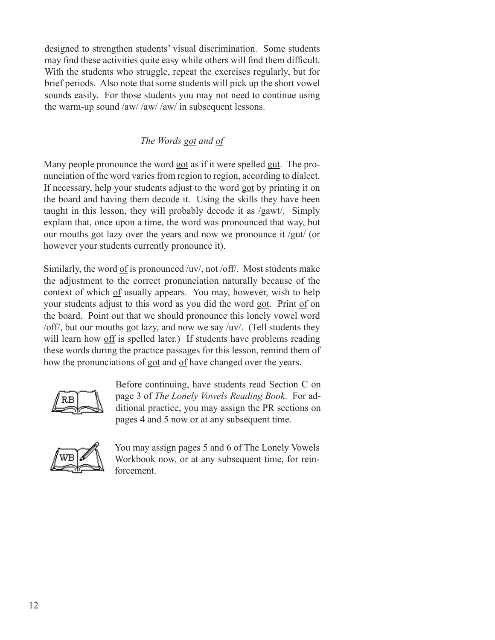designed to strengthen students' visual discrimination. Some students may find these activities quite easy while others will find them difficult. With the students who struggle, repeat the exercises regularly, but for brief periods. Also note that some students will pick up the short vowel sounds easily. For those students you may not need to continue using the warm-up sound /aw/ /aw/ /aw/ in subsequent lessons.

## *The Words got and of*

Many people pronounce the word got as if it were spelled gut. The pronunciation of the word varies from region to region, according to dialect. If necessary, help your students adjust to the word got by printing it on the board and having them decode it. Using the skills they have been taught in this lesson, they will probably decode it as /gawt/. Simply explain that, once upon a time, the word was pronounced that way, but our mouths got lazy over the years and now we pronounce it /gut/ (or however your students currently pronounce it).

Similarly, the word of is pronounced /uv/, not /off/. Most students make the adjustment to the correct pronunciation naturally because of the context of which of usually appears. You may, however, wish to help your students adjust to this word as you did the word got. Print of on the board. Point out that we should pronounce this lonely vowel word /off/, but our mouths got lazy, and now we say /uv/. (Tell students they will learn how off is spelled later.) If students have problems reading these words during the practice passages for this lesson, remind them of how the pronunciations of got and of have changed over the years.



Before continuing, have students read Section C on page 3 of *The Lonely Vowels Reading Book*. For additional practice, you may assign the PR sections on pages 4 and 5 now or at any subsequent time.



You may assign pages 5 and 6 of The Lonely Vowels Workbook now, or at any subsequent time, for reinforcement.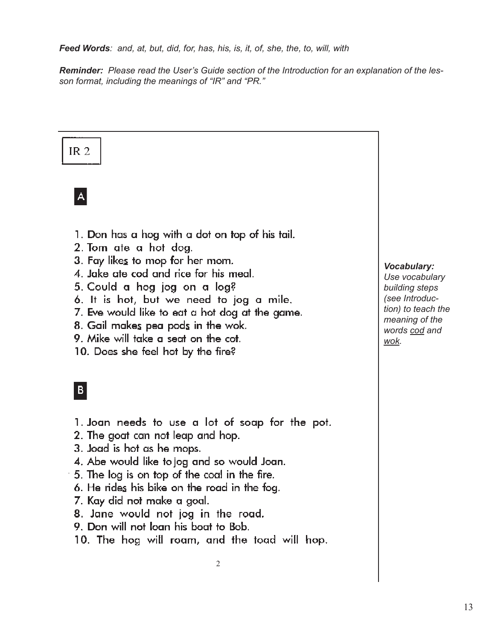*Feed Words: and, at, but, did, for, has, his, is, it, of, she, the, to, will, with*

*Reminder: Please read the User's Guide section of the Introduction for an explanation of the lesson format, including the meanings of "IR" and "PR."*

# $IR<sub>2</sub>$

 $\overline{A}$ 

- 1. Don has a hog with a dot on top of his tail.
- 2. Tom ate a hot dog.
- 3. Fay likes to mop for her mom.
- 4. Jake ate cod and rice for his meal.
- 5. Could a hog jog on a log?
- 6. It is hot, but we need to jog a mile.
- 7. Eve would like to eat a hot dog at the game.
- 8. Gail makes pea pods in the wok.
- 9. Mike will take a seat on the cot.
- 10. Does she feel hot by the fire?

# $|B|$

- 1. Joan needs to use a lot of soap for the pot.
- 2. The goat can not leap and hop.
- 3. Joad is hot as he mops.
- 4. Abe would like to jog and so would Joan.
- 5. The log is on top of the coal in the fire.
- 6. He rides his bike on the road in the fog.
- 7. Kay did not make a goal.
- 8. Jane would not jog in the road.
- 9. Don will not loan his boat to Bob.
- 10. The hog will roam, and the toad will hop.

### *Vocabulary:*

*Use vocabulary building steps (see Introduction) to teach the meaning of the words cod and wok.*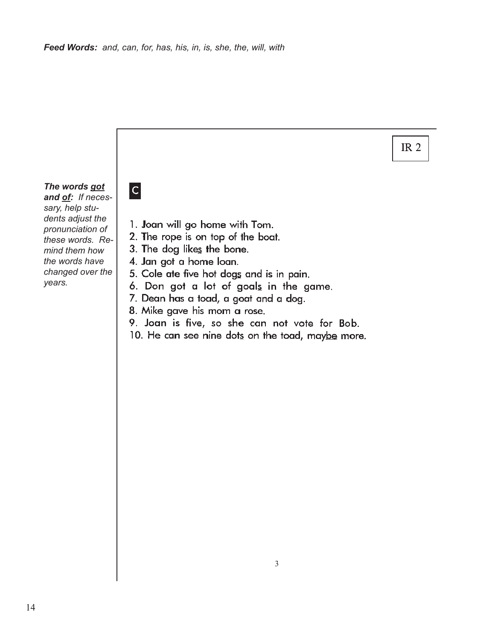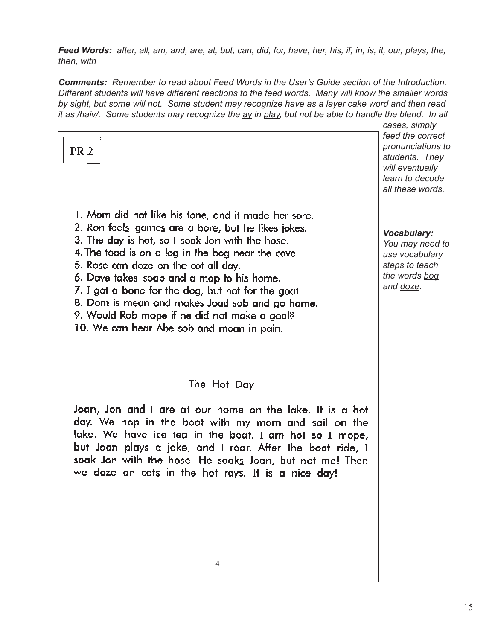*Feed Words: after, all, am, and, are, at, but, can, did, for, have, her, his, if, in, is, it, our, plays, the, then, with*

*Comments: Remember to read about Feed Words in the User's Guide section of the Introduction. Different students will have different reactions to the feed words. Many will know the smaller words by sight, but some will not. Some student may recognize have as a layer cake word and then read it as /haiv/. Some students may recognize the ay in play, but not be able to handle the blend. In all cases, simply* 

| PR <sub>2</sub>                                                                                                                                                                                                                                                                                                                                                                                                                                                                                             | cases, simply<br>feed the correct<br>pronunciations to<br>students. They<br>will eventually<br>learn to decode<br>all these words. |
|-------------------------------------------------------------------------------------------------------------------------------------------------------------------------------------------------------------------------------------------------------------------------------------------------------------------------------------------------------------------------------------------------------------------------------------------------------------------------------------------------------------|------------------------------------------------------------------------------------------------------------------------------------|
| 1. Mom did not like his tone, and it made her sore.<br>2. Ron feels games are a bore, but he likes jokes.<br>3. The day is hot, so I soak Jon with the hose.<br>4. The toad is on a log in the bog near the cove.<br>5. Rose can doze on the cot all day.<br>6. Dave takes soap and a mop to his home.<br>7. I got a bone for the dog, but not for the goat.<br>8. Dom is mean and makes Joad sob and go home.<br>9. Would Rob mope if he did not make a goal?<br>10. We can hear Abe sob and moan in pain. | <b>Vocabulary:</b><br>You may need to<br>use vocabulary<br>steps to teach<br>the words bog<br>and doze.                            |
| The Hot Day                                                                                                                                                                                                                                                                                                                                                                                                                                                                                                 |                                                                                                                                    |
| Joan, Jon and I are at our home on the lake. It is a hot<br>day. We hop in the boat with my mom and sail on the<br>lake. We have ice tea in the boat. I am hot so I mope,<br>but Joan plays a joke, and I roar. After the boat ride, I                                                                                                                                                                                                                                                                      |                                                                                                                                    |

4

soak Jon with the hose. He soaks Joan, but not me! Then

we doze on cots in the hot rays. It is a nice day!